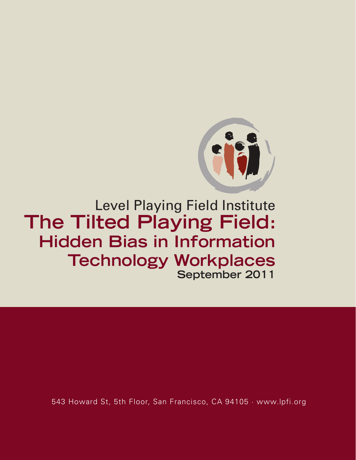

Level Playing Field Institute **The Tilted Playing Field: Hidden Bias in Information Technology Workplaces September 2011**

543 Howard St, 5th Floor, San Francisco, CA 94105 · www.lpfi.org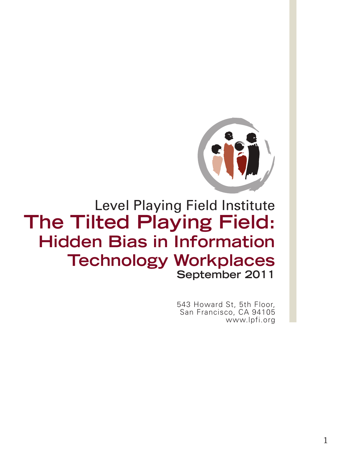

# Level Playing Field Institute **The Tilted Playing Field: Hidden Bias in Information Technology Workplaces September 2011**

543 Howard St, 5th Floor, San Francisco, CA 94105 www.lpfi.org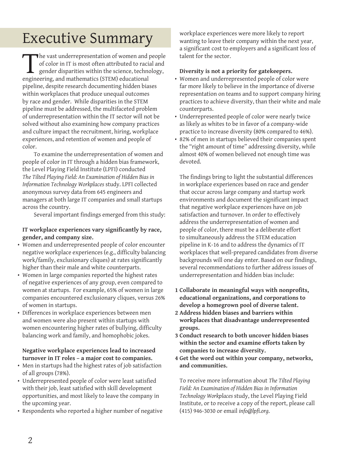# Executive Summary

The vast underrepresentation of women and people<br>of color in IT is most often attributed to racial and<br>gender disparities within the science, technology,<br>engineering, and mathematics (STEM) educational of color in IT is most often attributed to racial and gender disparities within the science, technology, engineering, and mathematics (STEM) educational pipeline, despite research documenting hidden biases within workplaces that produce unequal outcomes by race and gender. While disparities in the STEM pipeline must be addressed, the multifaceted problem of underrepresentation within the IT sector will not be solved without also examining how company practices and culture impact the recruitment, hiring, workplace experiences, and retention of women and people of color.

To examine the underrepresentation of women and people of color in IT through a hidden bias framework, the Level Playing Field Institute (LPFI) conducted *The Tilted Playing Field: An Examination of Hidden Bias in Information Technology Workplaces* study. LPFI collected anonymous survey data from 645 engineers and managers at both large IT companies and small startups across the country.

 Several important findings emerged from this study:

#### **IT workplace experiences vary significantly by race, gender, and company size.**

- • Women and underrepresented people of color encounter negative workplace experiences (e.g., difficulty balancing work/family, exclusionary cliques) at rates significantly higher than their male and white counterparts.
- • Women in large companies reported the highest rates of negative experiences of any group, even compared to women at startups. For example, 65% of women in large companies encountered exclusionary cliques, versus 26% of women in startups.
- • Differences in workplace experiences between men and women were also present within startups with women encountering higher rates of bullying, difficulty balancing work and family, and homophobic jokes.

#### **Negative workplace experiences lead to increased turnover in IT roles – a major cost to companies.**

- Men in startups had the highest rates of job satisfaction of all groups (78%).
- • Underrepresented people of color were least satisfied with their job, least satisfied with skill development opportunities, and most likely to leave the company in the upcoming year.
- Respondents who reported a higher number of negative

workplace experiences were more likely to report wanting to leave their company within the next year, a significant cost to employers and a significant loss of talent for the sector.

#### **Diversity is not a priority for gatekeepers.**

- • Women and underrepresented people of color were far more likely to believe in the importance of diverse representation on teams and to support company hiring practices to achieve diversity, than their white and male counterparts.
- • Underrepresented people of color were nearly twice as likely as whites to be in favor of a company-wide practice to increase diversity (80% compared to 46%).
- • 82% of men in startups believed their companies spent the "right amount of time" addressing diversity, while almost 40% of women believed not enough time was devoted.

The findings bring to light the substantial differences in workplace experiences based on race and gender that occur across large company and startup work environments and document the significant impact that negative workplace experiences have on job satisfaction and turnover. In order to effectively address the underrepresentation of women and people of color, there must be a deliberate effort to simultaneously address the STEM education pipeline in K-16 and to address the dynamics of IT workplaces that well-prepared candidates from diverse backgrounds will one day enter. Based on our findings, several recommendations to further address issues of underrepresentation and hidden bias include:

- **1 Collaborate in meaningful ways with nonprofits, educational organizations, and corporations to develop a homegrown pool of diverse talent.**
- **2 Address hidden biases and barriers within workplaces that disadvantage underrepresented groups.**
- **3 Conduct research to both uncover hidden biases within the sector and examine efforts taken by companies to increase diversity.**
- **4 Get the word out within your company, networks, and communities.**

To receive more information about *The Tilted Playing Field: An Examination of Hidden Bias in Information Technology Workplaces* study, the Level Playing Field Institute, or to receive a copy of the report, please call (415) 946-3030 or email *info@lpfi.org*.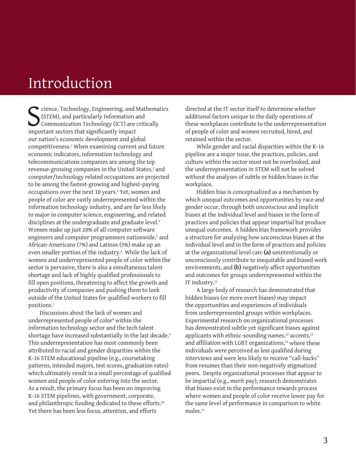# Introduction

Sience, Technology, Engineering, and<br>
SIEM, and particularly Information<br>
Communication Technology (ICT) are<br>
important sectors that significantly impact cience, Technology, Engineering, and Mathematics (STEM), and particularly Information and Communication Technology (ICT) are critically our nation's economic development and global competitiveness.1 When examining current and future economic indicators, information technology and telecommunications companies are among the top revenue-grossing companies in the United States,<sup>2</sup> and computer/technology related occupations are projected to be among the fastest-growing and highest-paying occupations over the next 10 years.<sup>3</sup> Yet, women and people of color are vastly underrepresented within the information technology industry, and are far less likely to major in computer science, engineering, and related disciplines at the undergraduate and graduate level.<sup>4</sup> Women make up just 20% of all computer software engineers and computer programmers nationwide,<sup>5</sup> and African-Americans (7%) and Latinos (5%) make up an even smaller portion of the industry.6 While the lack of women and underrepresented people of color within the sector is pervasive, there is also a simultaneous talent shortage and lack of highly qualified professionals to fill open positions, threatening to affect the growth and productivity of companies and pushing them to look outside of the United States for qualified workers to fill positions.7

Discussions about the lack of women and underrepresented people of color<sup>s</sup> within the information technology sector and the tech talent shortage have increased substantially in the last decade.9 This underrepresentation has most commonly been attributed to racial and gender disparities within the K-16 STEM educational pipeline (e.g., coursetaking patterns, intended majors, test scores, graduation rates) which ultimately result in a small percentage of qualified women and people of color entering into the sector. As a result, the primary focus has been on improving K-16 STEM pipelines, with government, corporate, and philanthropic funding dedicated to these efforts.<sup>10</sup> Yet there has been less focus, attention, and efforts

directed at the IT sector itself to determine whether additional factors unique to the daily operations of these workplaces contribute to the underrepresentation of people of color and women recruited, hired, and retained within the sector.

While gender and racial disparities within the K-16 pipeline are a major issue, the practices, policies, and culture within the sector must not be overlooked, and the underrepresentation in STEM will not be solved without the analyses of subtle or hidden biases in the workplace.

Hidden bias is conceptualized as a mechanism by which unequal outcomes and opportunities by race and gender occur, through both unconscious and implicit biases at the individual level and biases in the form of practices and policies that appear impartial but produce unequal outcomes. A hidden bias framework provides a structure for analyzing how unconscious biases at the individual level and in the form of practices and policies at the organizational level can: **(a)** unintentionally or unconsciously contribute to inequitable and biased work environments, and **(b)** negatively affect opportunities and outcomes for groups underrepresented within the IT industry.<sup>11</sup>

A large body of research has demonstrated that hidden biases (or more overt biases) may impact the opportunities and experiences of individuals from underrepresented groups within workplaces. Experimental research on organizational processes has demonstrated subtle yet significant biases against applicants with ethnic-sounding names,<sup>12</sup> accents,<sup>13</sup> and affiliation with LGBT organizations,<sup>14</sup> where these individuals were perceived as less qualified during interviews and were less likely to receive "call-backs" from resumes than their non-negatively stigmatized peers. Despite organizational processes that appear to be impartial (e.g., merit pay), research demonstrates that biases exist in the performance rewards process where women and people of color receive lower pay for the same level of performance in comparison to white males.15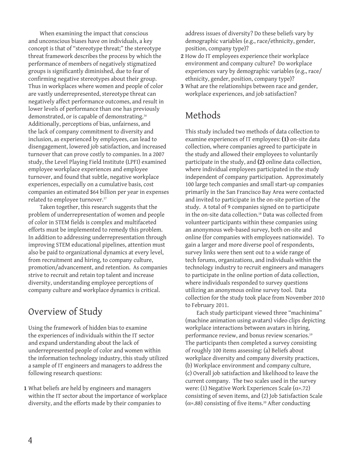When examining the impact that conscious and unconscious biases have on individuals, a key concept is that of "stereotype threat;" the stereotype threat framework describes the process by which the performance of members of negatively stigmatized groups is significantly diminished, due to fear of confirming negative stereotypes about their group. Thus in workplaces where women and people of color are vastly underrepresented, stereotype threat can negatively affect performance outcomes, and result in lower levels of performance than one has previously demonstrated, or is capable of demonstrating.16 Additionally, perceptions of bias, unfairness, and the lack of company commitment to diversity and inclusion, as experienced by employees, can lead to disengagement, lowered job satisfaction, and increased turnover that can prove costly to companies. In a 2007 study, the Level Playing Field Institute (LPFI) examined employee workplace experiences and employee turnover, and found that subtle, negative workplace experiences, especially on a cumulative basis, cost companies an estimated \$64 billion per year in expenses related to employee turnover.<sup>17</sup>

Taken together, this research suggests that the problem of underrepresentation of women and people of color in STEM fields is complex and multifaceted efforts must be implemented to remedy this problem. In addition to addressing underrepresentation through improving STEM educational pipelines, attention must also be paid to organizational dynamics at every level, from recruitment and hiring, to company culture, promotion/advancement, and retention. As companies strive to recruit and retain top talent and increase diversity, understanding employee perceptions of company culture and workplace dynamics is critical.

### Overview of Study

Using the framework of hidden bias to examine the experiences of individuals within the IT sector and expand understanding about the lack of underrepresented people of color and women within the information technology industry, this study utilized a sample of IT engineers and managers to address the following research questions:

**1** What beliefs are held by engineers and managers within the IT sector about the importance of workplace diversity, and the efforts made by their companies to

address issues of diversity? Do these beliefs vary by demographic variables (e.g., race/ethnicity, gender, position, company type)?

- **2** How do IT employees experience their workplace environment and company culture? Do workplace experiences vary by demographic variables (e.g., race/ ethnicity, gender, position, company type)?
- **3** What are the relationships between race and gender, workplace experiences, and job satisfaction?

### Methods

This study included two methods of data collection to examine experiences of IT employees: **(1)** on-site data collection, where companies agreed to participate in the study and allowed their employees to voluntarily participate in the study, and **(2)** online data collection, where individual employees participated in the study independent of company participation. Approximately 100 large tech companies and small start-up companies primarily in the San Francisco Bay Area were contacted and invited to participate in the on-site portion of the study. A total of 9 companies signed on to participate in the on-site data collection.<sup>18</sup> Data was collected from volunteer participants within these companies using an anonymous web-based survey, both on-site and online (for companies with employees nationwide). To gain a larger and more diverse pool of respondents, survey links were then sent out to a wide range of tech forums, organizations, and individuals within the technology industry to recruit engineers and managers to participate in the online portion of data collection, where individuals responded to survey questions utilizing an anonymous online survey tool. Data collection for the study took place from November 2010 to February 2011.

Each study participant viewed three "machinima" (machine animation using avatars) video clips depicting workplace interactions between avatars in hiring, performance review, and bonus review scenarios.<sup>19</sup> The participants then completed a survey consisting of roughly 100 items assessing: (a) Beliefs about workplace diversity and company diversity practices, (b) Workplace environment and company culture, (c) Overall job satisfaction and likelihood to leave the current company. The two scales used in the survey were: (1) Negative Work Experiences Scale ( $\alpha$ =.72) consisting of seven items, and (2) Job Satisfaction Scale  $(\alpha=0.88)$  consisting of five items.<sup>20</sup> After conducting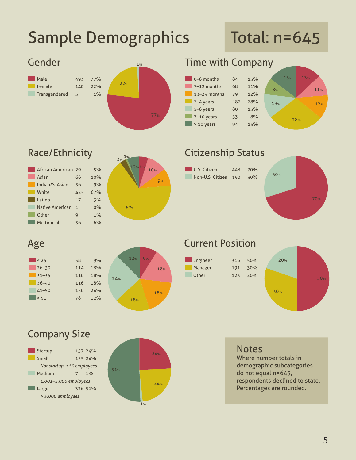# Sample Demographics

# Total: n=645





# **Race/Ethnicity**

| African American 29    |              | 5%  |
|------------------------|--------------|-----|
| Asian                  | 66           | 10% |
| Indian/S. Asian        | 56           | 9%  |
| White                  | 425          | 67% |
| Latino                 | 17           | 3%  |
| <b>Native American</b> | $\mathbf{1}$ | 0%  |
| Other                  | 9            | 1%  |
| Multiracial            | 36           | 6%  |
|                        |              |     |



## Citizenship Status

| U.S. Citizen             | 448 70% |  |
|--------------------------|---------|--|
| Non-U.S. Citizen 190 30% |         |  |



## Age

| < 25      |
|-----------|
| $26 - 30$ |
| $31 - 35$ |
| $36 - 40$ |
| $41 - 50$ |
| > 51      |





# Current Position

| Engineer | 316 | 50% |
|----------|-----|-----|
| Manager  | 191 | 30% |
| Other    | 123 | 20% |



## Company Size





### **Notes**

Where number totals in demographic subcategories do not equal n=645, respondents declined to state. Percentages are rounded.

5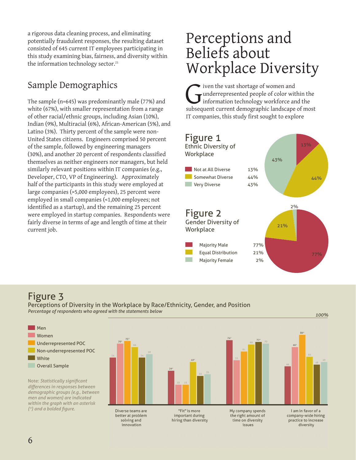a rigorous data cleaning process, and eliminating potentially fraudulent responses, the resulting dataset consisted of 645 current IT employees participating in this study examining bias, fairness, and diversity within the information technology sector.<sup>21</sup>

### Sample Demographics

The sample (n=645) was predominantly male (77%) and white (67%), with smaller representation from a range of other racial/ethnic groups, including Asian (10%), Indian (9%), Multiracial (6%), African-American (5%), and Latino (3%). Thirty percent of the sample were non-United States citizens. Engineers comprised 50 percent of the sample, followed by engineering managers (30%), and another 20 percent of respondents classified themselves as neither engineers nor managers, but held similarly relevant positions within IT companies (e.g., Developer, CTO, VP of Engineering). Approximately half of the participants in this study were employed at large companies (>5,000 employees), 25 percent were employed in small companies (<1,000 employees; not identified as a startup), and the remaining 25 percent were employed in startup companies. Respondents were fairly diverse in terms of age and length of time at their current job.

# Perceptions and Beliefs about Workplace Diversity

iven the vast shortage of women and underrepresented people of color within the information technology workforce and the subsequent current demographic landscape of most IT companies, this study first sought to explore



### Figure 3

Perceptions of Diversity in the Workplace by Race/Ethnicity, Gender, and Position *Percentage of respondents who agreed with the statements below 100%*



Note: *Statistically significant differences in responses between demographic groups (e.g., between men and women) are indicated within the graph with an asterisk (\*) and a bolded figure.*

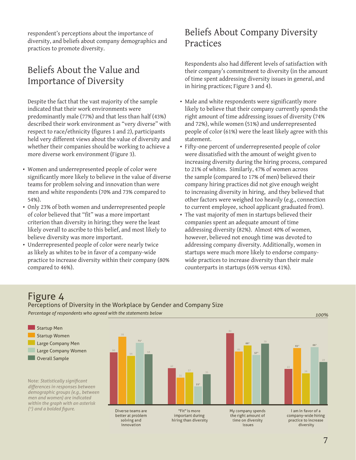respondent's perceptions about the importance of diversity, and beliefs about company demographics and practices to promote diversity.

### Beliefs About the Value and Importance of Diversity

Despite the fact that the vast majority of the sample indicated that their work environments were predominantly male (77%) and that less than half (43%) described their work environment as "very diverse" with respect to race/ethnicity (figures 1 and 2), participants held very different views about the value of diversity and whether their companies should be working to achieve a more diverse work environment (Figure 3).

- • Women and underrepresented people of color were significantly more likely to believe in the value of diverse teams for problem solving and innovation than were men and white respondents (70% and 73% compared to 54%).
- • Only 23% of both women and underrepresented people of color believed that "fit" was a more important criterion than diversity in hiring; they were the least likely overall to ascribe to this belief, and most likely to believe diversity was more important.
- Underrepresented people of color were nearly twice as likely as whites to be in favor of a company-wide practice to increase diversity within their company (80% compared to 46%).

### Beliefs About Company Diversity Practices

Respondents also had different levels of satisfaction with their company's commitment to diversity (in the amount of time spent addressing diversity issues in general, and in hiring practices; Figure 3 and 4).

- Male and white respondents were significantly more likely to believe that their company currently spends the right amount of time addressing issues of diversity (74% and 72%), while women (51%) and underrepresented people of color (61%) were the least likely agree with this statement.
- • Fifty-one percent of underrepresented people of color were dissatisfied with the amount of weight given to increasing diversity during the hiring process, compared to 21% of whites. Similarly, 47% of women across the sample (compared to 17% of men) believed their company hiring practices did not give enough weight to increasing diversity in hiring, and they believed that other factors were weighed too heavily (e.g., connection to current employee, school applicant graduated from).
- The vast majority of men in startups believed their companies spent an adequate amount of time addressing diversity (82%). Almost 40% of women, however, believed not enough time was devoted to addressing company diversity. Additionally, women in startups were much more likely to endorse companywide practices to increase diversity than their male counterparts in startups (65% versus 41%).

### Figure 4

Startup Men

Perceptions of Diversity in the Workplace by Gender and Company Size *Percentage of respondents who agreed with the statements below 100%*

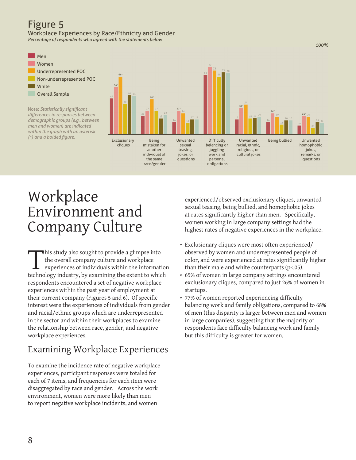### Figure 5

Workplace Experiences by Race/Ethnicity and Gender *Percentage of respondents who agreed with the statements below*

Men Women Underrepresented POC Non-underrepresented POC White Overall Sample Note: *Statistically significant differences in responses between demographic groups (e.g., between men and women) are indicated within the graph with an asterisk (\*) and a bolded figure.*Being Difficulty **Being bullied** Exclusionary Unwanted Unwanted Unwanted mistaken for racial, ethnic, homophobic cliques sexual balancing or another teasing, juggling religious, or jokes, individual of jokes, or work and cultural jokes remarks, or

questions

personal

obligations

the same

race/gender

# Workplace Environment and Company Culture

This study also sought to provide a glimpse into<br>the overall company culture and workplace<br>experiences of individuals within the informative<br>technology industry, by examining the extent to which the overall company culture and workplace experiences of individuals within the information technology industry, by examining the extent to which respondents encountered a set of negative workplace experiences within the past year of employment at their current company (Figures 5 and 6). Of specific interest were the experiences of individuals from gender and racial/ethnic groups which are underrepresented in the sector and within their workplaces to examine the relationship between race, gender, and negative workplace experiences.

# Examining Workplace Experiences

To examine the incidence rate of negative workplace experiences, participant responses were totaled for each of 7 items, and frequencies for each item were disaggregated by race and gender. Across the work environment, women were more likely than men to report negative workplace incidents, and women

experienced/observed exclusionary cliques, unwanted sexual teasing, being bullied, and homophobic jokes at rates significantly higher than men. Specifically, women working in large company settings had the highest rates of negative experiences in the workplace.

*100%*

questions

- Exclusionary cliques were most often experienced/ observed by women and underrepresented people of color, and were experienced at rates significantly higher than their male and white counterparts (p<.05).
- 65% of women in large company settings encountered exclusionary cliques, compared to just 26% of women in startups.
- 77% of women reported experiencing difficulty balancing work and family obligations, compared to 68% of men (this disparity is larger between men and women in large companies), suggesting that the majority of respondents face difficulty balancing work and family but this difficulty is greater for women.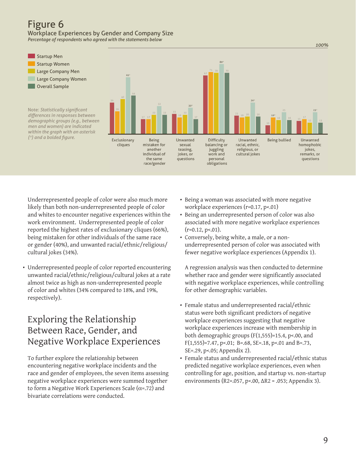#### Figure 6 Workplace Experiences by Gender and Company Size

*Percentage of respondents who agreed with the statements below*



Underrepresented people of color were also much more likely than both non-underrepresented people of color and whites to encounter negative experiences within the work environment. Underrepresented people of color reported the highest rates of exclusionary cliques (66%), being mistaken for other individuals of the same race or gender (40%), and unwanted racial/ethnic/religious/ cultural jokes (34%).

• Underrepresented people of color reported encountering unwanted racial/ethnic/religious/cultural jokes at a rate almost twice as high as non-underrepresented people of color and whites (34% compared to 18%, and 19%, respectively).

### Exploring the Relationship Between Race, Gender, and Negative Workplace Experiences

To further explore the relationship between encountering negative workplace incidents and the race and gender of employees, the seven items assessing negative workplace experiences were summed together to form a Negative Work Experiences Scale ( $\alpha$ =.72) and bivariate correlations were conducted.

- Being a woman was associated with more negative workplace experiences (r=0.17, p<.01)
- • Being an underrepresented person of color was also associated with more negative workplace experiences  $(r=0.12, p<.01)$ .
- • Conversely, being white, a male, or a nonunderrepresented person of color was associated with fewer negative workplace experiences (Appendix 1).

A regression analysis was then conducted to determine whether race and gender were significantly associated with negative workplace experiences, while controlling for other demographic variables.

- Female status and underrepresented racial/ethnic status were both significant predictors of negative workplace experiences suggesting that negative workplace experiences increase with membership in both demographic groups (F(1,555)=15.4, p<.00, and  $F(1,555)=7.47$ , p<.01; B=.68, SE=.18, p<.01 and B=.73, SE=.29, p<.05; Appendix 2).
- Female status and underrepresented racial/ethnic status predicted negative workplace experiences, even when controlling for age, position, and startup vs. non-startup environments (R2=.057, p<.00, ΔR2 = .053; Appendix 3).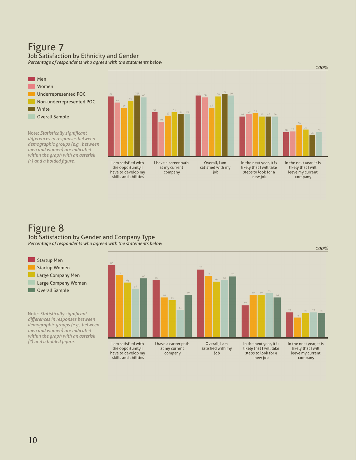## Figure 7

#### Job Satisfaction by Ethnicity and Gender

*Percentage of respondents who agreed with the statements below*



I have a career path

the opportunity I at my current have to develop my company skills and abilities

Overall, I am satisfied with my job

In the next year, it is likely that I will take steps to look for a new job

In the next year, it is likely that I will leave my current<br>company

*100%*

### Figure 8

Startup Men Startup Women

**Overall Sample** 

*(\*) and a bolded figure.*

Job Satisfaction by Gender and Company Type *Percentage of respondents who agreed with the statements below*

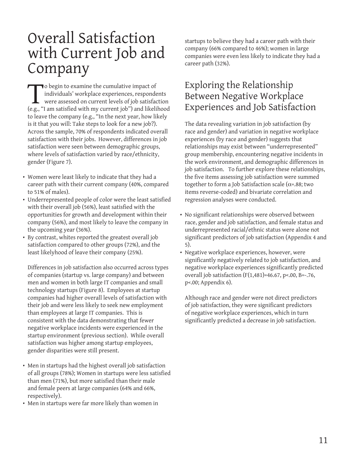# Overall Satisfaction with Current Job and Company

To begin to examine the cumulative impact of<br>individuals' workplace experiences, responde<br>were assessed on current levels of job satisfac<br>(e.g., "I am satisfied with my current job") and likeli individuals' workplace experiences, respondents were assessed on current levels of job satisfaction (e.g., "I am satisfied with my current job") and likelihood to leave the company (e.g., "In the next year, how likely is it that you will: Take steps to look for a new job?). Across the sample, 70% of respondents indicated overall satisfaction with their jobs. However, differences in job satisfaction were seen between demographic groups, where levels of satisfaction varied by race/ethnicity, gender (Figure 7).

- Women were least likely to indicate that they had a career path with their current company (40%, compared to 51% of males).
- • Underrepresented people of color were the least satisfied with their overall job (56%), least satisfied with the opportunities for growth and development within their company (56%), and most likely to leave the company in the upcoming year (36%).
- • By contrast, whites reported the greatest overall job satisfaction compared to other groups (72%), and the least likelyhood of leave their company (25%).

Differences in job satisfaction also occurred across types of companies (startup vs. large company) and between men and women in both large IT companies and small technology startups (Figure 8). Employees at startup companies had higher overall levels of satisfaction with their job and were less likely to seek new employment than employees at large IT companies. This is consistent with the data demonstrating that fewer negative workplace incidents were experienced in the startup environment (previous section). While overall satisfaction was higher among startup employees, gender disparities were still present.

- Men in startups had the highest overall job satisfaction of all groups (78%); Women in startups were less satisfied than men (71%), but more satisfied than their male and female peers at large companies (64% and 66%, respectively).
- Men in startups were far more likely than women in

startups to believe they had a career path with their company (66% compared to 46%); women in large companies were even less likely to indicate they had a career path (32%).

### Exploring the Relationship Between Negative Workplace Experiences and Job Satisfaction

The data revealing variation in job satisfaction (by race and gender) and variation in negative workplace experiences (by race and gender) suggests that relationships may exist between "underrepresented" group membership, encountering negative incidents in the work environment, and demographic differences in job satisfaction. To further explore these relationships, the five items assessing job satisfaction were summed together to form a Job Satisfaction scale ( $\alpha$ =.88; two items reverse-coded) and bivariate correlation and regression analyses were conducted.

- No significant relationships were observed between race, gender and job satisfaction, and female status and underrepresented racial/ethnic status were alone not significant predictors of job satisfaction (Appendix 4 and 5).
- • Negative workplace experiences, however, were significantly negatively related to job satisfaction, and negative workplace experiences significantly predicted overall job satisfaction (F(1,481)=46.67, p<.00, B=-.76, p<.00; Appendix 6).

Although race and gender were not direct predictors of job satisfaction, they were significant predictors of negative workplace experiences, which in turn significantly predicted a decrease in job satisfaction.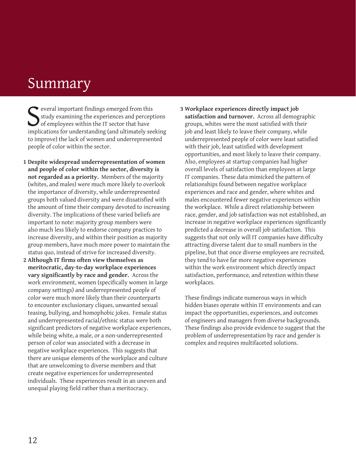# **Summary**

S<sub>impli</sub> everal important findings emerged from this study examining the experiences and perceptions of employees within the IT sector that have implications for understanding (and ultimately seeking to improve) the lack of women and underrepresented people of color within the sector.

- **1 Despite widespread underrepresentation of women and people of color within the sector, diversity is not regarded as a priority.** Members of the majority (whites, and males) were much more likely to overlook the importance of diversity, while underrepresented groups both valued diversity and were dissatisfied with the amount of time their company devoted to increasing diversity. The implications of these varied beliefs are important to note: majority group members were also much less likely to endorse company practices to increase diversity, and within their position as majority group members, have much more power to maintain the status quo, instead of strive for increased diversity.
- **2 Although IT firms often view themselves as meritocratic, day-to-day workplace experiences vary significantly by race and gender.** Across the work environment, women (specifically women in large company settings) and underrepresented people of color were much more likely than their counterparts to encounter exclusionary cliques, unwanted sexual teasing, bullying, and homophobic jokes. Female status and underrepresented racial/ethnic status were both significant predictors of negative workplace experiences, while being white, a male, or a non-underrepresented person of color was associated with a decrease in negative workplace experiences. This suggests that there are unique elements of the workplace and culture that are unwelcoming to diverse members and that create negative experiences for underrepresented individuals. These experiences result in an uneven and unequal playing field rather than a meritocracy.

**3 Workplace experiences directly impact job satisfaction and turnover.** Across all demographic groups, whites were the most satisfied with their job and least likely to leave their company, while underrepresented people of color were least satisfied with their job, least satisfied with development opportunities, and most likely to leave their company. Also, employees at startup companies had higher overall levels of satisfaction than employees at large IT companies. These data mimicked the pattern of relationships found between negative workplace experiences and race and gender, where whites and males encountered fewer negative experiences within the workplace. While a direct relationship between race, gender, and job satisfaction was not established, an increase in negative workplace experiences significantly predicted a decrease in overall job satisfaction. This suggests that not only will IT companies have difficulty attracting diverse talent due to small numbers in the pipeline, but that once diverse employees are recruited, they tend to have far more negative experiences within the work environment which directly impact satisfaction, performance, and retention within these workplaces.

These findings indicate numerous ways in which hidden biases operate within IT environments and can impact the opportunities, experiences, and outcomes of engineers and managers from diverse backgrounds. These findings also provide evidence to suggest that the problem of underrepresentation by race and gender is complex and requires multifaceted solutions.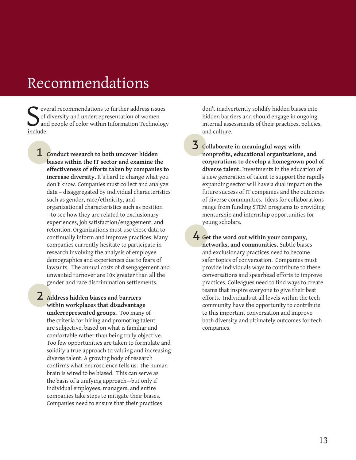# Recommendations

Sof of de and and the contract of the set of the set of the set of the set of the set of the set of the set of the set of the set of the set of the set of the set of the set of the set of the set of the set of the set of t everal recommendations to further address issues of diversity and underrepresentation of women and people of color within Information Technology

1 **Conduct research to both uncover hidden biases within the IT sector and examine the effectiveness of efforts taken by companies to increase diversity.** It's hard to change what you don't know. Companies must collect and analyze data – disaggregated by individual characteristics such as gender, race/ethnicity, and organizational characteristics such as position – to see how they are related to exclusionary experiences, job satisfaction/engagement, and retention. Organizations must use these data to continually inform and improve practices. Many companies currently hesitate to participate in research involving the analysis of employee demographics and experiences due to fears of lawsuits. The annual costs of disengagement and unwanted turnover are 10x greater than all the gender and race discrimination settlements.

2 **Address hidden biases and barriers within workplaces that disadvantage underrepresented groups.** Too many of the criteria for hiring and promoting talent are subjective, based on what is familiar and comfortable rather than being truly objective. Too few opportunities are taken to formulate and solidify a true approach to valuing and increasing diverse talent. A growing body of research confirms what neuroscience tells us: the human brain is wired to be biased. This can serve as the basis of a unifying approach—but only if individual employees, managers, and entire companies take steps to mitigate their biases. Companies need to ensure that their practices

don't inadvertently solidify hidden biases into hidden barriers and should engage in ongoing internal assessments of their practices, policies, and culture.

3 **Collaborate in meaningful ways with nonprofits, educational organizations, and corporations to develop a homegrown pool of diverse talent.** Investments in the education of a new generation of talent to support the rapidly expanding sector will have a dual impact on the future success of IT companies and the outcomes of diverse communities. Ideas for collaborations range from funding STEM programs to providing mentorship and internship opportunities for young scholars.

4 **Get the word out within your company, networks, and communities.** Subtle biases and exclusionary practices need to become safer topics of conversation. Companies must provide individuals ways to contribute to these conversations and spearhead efforts to improve practices. Colleagues need to find ways to create teams that inspire everyone to give their best efforts. Individuals at all levels within the tech community have the opportunity to contribute to this important conversation and improve both diversity and ultimately outcomes for tech companies.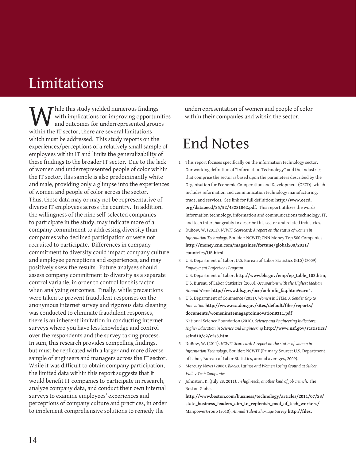# Limitations

While this study yielded numerous findings<br>with implications for improving opportured and outcomes for underrepresented grous<br>within the IT sector, there are several limitations with implications for improving opportunities and outcomes for underrepresented groups within the IT sector, there are several limitations which must be addressed. This study reports on the experiences/perceptions of a relatively small sample of employees within IT and limits the generalizability of these findings to the broader IT sector. Due to the lack of women and underrepresented people of color within the IT sector, this sample is also predominantly white and male, providing only a glimpse into the experiences of women and people of color across the sector. Thus, these data may or may not be representative of diverse IT employees across the country. In addition, the willingness of the nine self-selected companies to participate in the study, may indicate more of a company commitment to addressing diversity than companies who declined participation or were not recruited to participate. Differences in company commitment to diversity could impact company culture and employee perceptions and experiences, and may positively skew the results. Future analyses should assess company commitment to diversity as a separate control variable, in order to control for this factor when analyzing outcomes. Finally, while precautions were taken to prevent fraudulent responses on the anonymous internet survey and rigorous data cleaning was conducted to eliminate fraudulent responses, there is an inherent limitation in conducting internet surveys where you have less knowledge and control over the respondents and the survey taking process. In sum, this research provides compelling findings, but must be replicated with a larger and more diverse sample of engineers and managers across the IT sector. While it was difficult to obtain company participation, the limited data within this report suggests that it would benefit IT companies to participate in research, analyze company data, and conduct their own internal surveys to examine employees' experiences and perceptions of company culture and practices, in order to implement comprehensive solutions to remedy the

underrepresentation of women and people of color within their companies and within the sector.

# End Notes

- 1 This report focuses specifically on the information technology sector. Our working definition of "Information Technology" and the industries that comprise the sector is based upon the parameters described by the Organisation for Economic Co-operation and Development (OECD), which includes information and communication technology manufacturing, trade, and services. See link for full definition: **http://www.oecd. org/dataoecd/25/52/43281062.pdf**. This report utilizes the words information technology, information and communications technology, IT, and tech interchangeably to describe this sector and related industries.
- 2 DuBow, W. (2011). *NCWIT Scorecard: A report on the status of women in Information Technology*. Boulder: NCWIT; CNN Money Top 500 Companies **http://money.cnn.com/magazines/fortune/global500/2011/ countries/US.html**

3 U.S. Department of Labor, U.S. Bureau of Labor Statistics (BLS) (2009). *Employment Projections Program*

U.S. Department of Labor, **http://www.bls.gov/emp/ep\_table\_102.htm**; U.S. Bureau of Labor Statistics (2008). *Occupations with the Highest Median Annual Wages* **http://www.bls.gov/oco/oohinfo\_faq.htm#earn4**.

4 U.S. Department of Commerce (2011). *Women in STEM: A Gender Gap to Innovation* **http://www.esa.doc.gov/sites/default/files/reports/ documents/womeninstemagaptoinnovation8311.pdf** National Science Foundation (2010). *Science and Engineering Indicators: Higher Education in Science and Engineering* **http://www.nsf.gov/statistics/ seind10/c2/c2s3.htm** 

- 5 DuBow, W. (2011). *NCWIT Scorecard: A report on the status of women in Information Technology*. Boulder: NCWIT (Primary Source: U.S. Department of Labor, Bureau of Labor Statistics, annual averages, 2009).
- 6 Mercury News (2006). *Blacks, Latinos and Women Losing Ground at Silicon Valley Tech Companies*.
- 7 Johnston, K. (July 28, 2011). *In high-tech, another kind of job crunch*. The Boston Globe.

**http://www.boston.com/business/technology/articles/2011/07/28/ state\_business\_leaders\_aim\_to\_replenish\_pool\_of\_tech\_workers/** ManpowerGroup (2010). *Annual Talent Shortage Survey* **http://files.**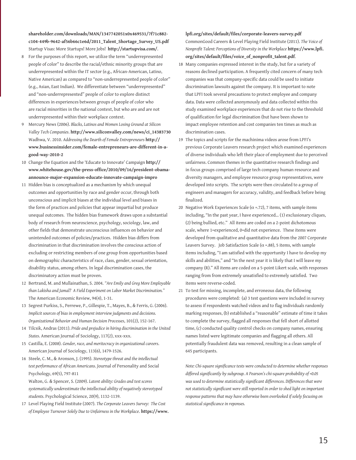**shareholder.com/downloads/MAN/1347742051x0x469531/7f71c882 c104-449b-9642-af56b66c1e6d/2011\_Talent\_Shortage\_Survey\_US.pdf** Startup Visas: More Startups! More Jobs! **http://startupvisa.com/**.

- 8 For the purposes of this report, we utilize the term "underrepresented people of color" to describe the racial/ethnic minority groups that are underrepresented within the IT sector (e.g., African-American, Latino, Native American) as compared to "non-underrepresented people of color" (e.g., Asian, East Indian). We differentiate between "underrepresented" and "non-underrepresented" people of color to explore distinct differences in experiences between groups of people of color who are racial minorities in the national context, but who are and are not underrepresented within their workplace context.
- 9 Mercury News (2006). *Blacks, Latinos and Women Losing Ground at Silicon Valley Tech Companies*. **http://www.siliconvalley.com/news/ci\_14383730** Wadhwa, V. 2010. *Addressing the Dearth of Female Entrepreneurs* **http:// www.businessinsider.com/female-entrepreneurs-are-different-in-agood-way-2010-2**
- 10 Change the Equation and the 'Educate to Innovate' Campaign **http:// www.whitehouse.gov/the-press-office/2010/09/16/president-obamaannounce-major-expansion-educate-innovate-campaign-impro**
- 11 Hidden bias is conceptualized as a mechanism by which unequal outcomes and opportunities by race and gender occur, through both unconscious and implicit biases at the individual level and biases in the form of practices and policies that appear impartial but produce unequal outcomes. The hidden bias framework draws upon a substantial body of research from neuroscience, psychology, sociology, law, and other fields that demonstrate unconscious influences on behavior and unintended outcomes of policies/practices. Hidden bias differs from discrimination in that discrimination involves the conscious action of excluding or restricting members of one group from opportunities based on demographic characteristics of race, class, gender, sexual orientation, disability status, among others. In legal discrimination cases, the discriminatory action must be proven.
- 12 Bertrand, M. and Mullainathan, S. 2004. *"Are Emily and Greg More Employable than Lakisha and Jamal? A Field Experiment on Labor Market Discrimination."* The American Economic Review, 94(4), 1-31.
- 13 Segrest Purkiss, S., Perrewe, P., Gillespie, T., Mayes, B., & Ferris, G. (2006). *Implicit sources of bias in employment interview judgments and decisions. Organizational Behavior and Human Decision Processes*, 101(2), 152-167.
- 14 Tilcsik, Andras (2011). *Pride and prejudice in hiring discrimination in the United States*. American Journal of Sociology, 117(2), xxx-xxx.
- 15 Castilla, E. (2008). *Gender, race, and meritocracy in organizational careers*. American Journal of Sociology, 113(6), 1479-1526.
- 16 Steele, C. M., & Aronson, J. (1995). *Stereotype threat and the intellectual test performance of African Americans*. Journal of Personality and Social Psychology, 69(5), 797-811

Walton, G. & Spencer, S. (2009). *Latent ability: Grades and test scores systematically underestimate the intellectual ability of negatively stereotyped students*. Psychological Science, 20(9), 1132-1139.

17 Level Playing Field Institute (2007). *The Corporate Leavers Survey: The Cost of Employee Turnover Solely Due to Unfairness in the Workplace*. **https://www.** **lpfi.org/sites/default/files/corporate-leavers-survey.pdf** CommonGood Careers & Level Playing Field Institute (2011). *The Voice of Nonprofit Talent: Perceptions of Diversity in the Workplace* **https://www.lpfi. org/sites/default/files/voice\_of\_nonprofit\_talent.pdf**.

- 18 Many companies expressed interest in the study, but for a variety of reasons declined participation. A frequently cited concern of many tech companies was that company-specific data could be used to initiate discrimination lawsuits against the company. It is important to note that LPFI took several precautions to protect employee and company data. Data were collected anonymously and data collected within this study examined workplace experiences that do not rise to the threshold of qualification for legal discrimination (but have been shown to impact employee retention and cost companies ten times as much as discrimination cases.
- 19 The topics and scripts for the machinima videos arose from LPFI's previous Corporate Leavers research project which examined experiences of diverse individuals who left their place of employment due to perceived unfairness. Common themes in the quantitative research findings and in focus groups comprised of large tech company human resource and diversity managers, and employee resource group representatives, were developed into scripts. The scripts were then circulated to a group of engineers and managers for accuracy, validity, and feedback before being finalized.
- 20 Negative Work Experiences Scale ( $\alpha$  =.72), 7 items, with sample items including, "In the past year, I have experienced… (1) exclusionary cliques, (2) being bullied, etc." All items are coded on a 2-point dichotomous scale, where 1=experienced, 0=did not experience. These items were developed from qualitative and quantitative data from the 2007 Corporate Leavers Survey. Job Satisfaction Scale ( $\alpha$  =.88), 5 items, with sample items including, "I am satisfied with the opportunity I have to develop my skills and abilities," and "In the next year it is likely that I will leave my company (R)." All items are coded on a 5-point Likert scale, with responses ranging from from extremely unsatisfied to extremely satisfied. Two items were reverse-coded.
- 21 To test for missing, incomplete, and erroneous data, the following procedures were completed: (a) 3 test questions were included in survey to assess if respondents watched videos and to flag individuals randomly marking responses, (b) established a "reasonable" estimate of time it takes to complete the survey, flagged all responses that fell short of allotted time, (c) conducted quality control checks on company names, ensuring names listed were legitimate companies and flagging all others. All potentially fraudulent data was removed, resulting in a clean sample of 645 participants.

*Note: Chi-square significance tests were conducted to determine whether responses differed significantly by subgroup. A Pearson's chi-square probability of <0.05 was used to determine statistically significant differences. Differences that were not statistically significant were still reported in order to shed light on important response patterns that may have otherwise been overlooked if solely focusing on statistical significance in reponses.*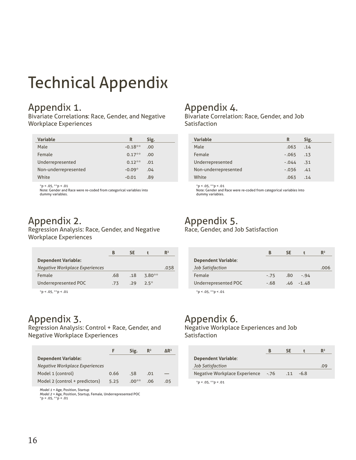# Technical Appendix

### Appendix 1.

Bivariate Correlation**s**: Race, Gender, and Negative Workplace Experiences

| <b>Variable</b>      | R         | Sig.             |
|----------------------|-----------|------------------|
| Male                 | $-0.18**$ | .00              |
| Female               | $0.17**$  | .00 <sub>1</sub> |
| Underrepresented     | $0.12**$  | .01              |
| Non-underrepresented | $-0.09*$  | .04              |
| White                | $-0.01$   | .89              |

 $*p < 0.05$ ,  $*p < 0.01$ 

Note: Gender and Race were re-coded from categorical variables into dummy variables.

### Appendix 2.

Regression Analysis: Race, Gender, and Negative Workplace Experiences

|     | SΕ  |        | $\mathbb{R}^2$ |
|-----|-----|--------|----------------|
|     |     |        |                |
|     |     |        | .038           |
| .68 | .18 | 3.80** |                |
| .73 | .29 | $2.5*$ |                |
|     |     |        |                |

 $*p < .05, **p < .01$ 

### Appendix 3.

Regression Analysis: Control + Race, Gender, and Negative Workplace Experiences

|                                       |      | Sig.    | $\mathbb{R}^2$ | $\Delta$ R <sup>2</sup> |
|---------------------------------------|------|---------|----------------|-------------------------|
| <b>Dependent Variable:</b>            |      |         |                |                         |
| <b>Negative Workplace Experiences</b> |      |         |                |                         |
| Model 1 (control)                     | 0.66 | .58     | .01            |                         |
| Model 2 (control + predictors)        | 5.25 | $.00**$ | .06            | .05                     |

*Model 1* = Age, Position, Startup *Model 2* = Age, Position, Startup, Female, Underrepresented POC  $*p < .05, **p < .01$ 

### Appendix 4.

Bivariate Correlation: Race, Gender, and Job Satisfaction

| <b>Variable</b>      | R       | Sig. |
|----------------------|---------|------|
| Male                 | .063    | .14  |
| Female               | $-.065$ | .13  |
| Underrepresented     | $-.044$ | .31  |
| Non-underrepresented | $-.036$ | .41  |
| White                | .063    | .14  |

 $*p < .05, **p < .01$ Note: Gender and Race were re-coded from categorical variables into dummy variables.

#### Appendix 5. Race, Gender, and Job Satisfaction

|                            | В      | SE  |             | $\mathbb{R}^2$ |
|----------------------------|--------|-----|-------------|----------------|
| <b>Dependent Variable:</b> |        |     |             |                |
| Job Satisfaction           |        |     |             | .006           |
| Female                     | $-.75$ | .80 | $-0.94$     |                |
| Underrepresented POC       | - 68   |     | $46 - 1.48$ |                |

 $*p < .05, **p < .01$ 

## Appendix 6.

Negative Workplace Experiences and Job Satisfaction

|                               | В      | <b>SE</b>   | $R^2$ |
|-------------------------------|--------|-------------|-------|
| <b>Dependent Variable:</b>    |        |             |       |
| Job Satisfaction              |        |             | .09   |
| Negative Workplace Experience | $-.76$ | $.11 - 6.8$ |       |
| *p < .05, **p < .01           |        |             |       |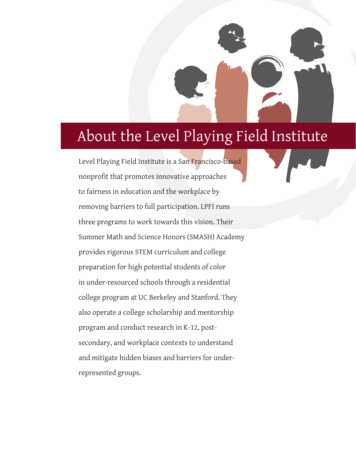# About the Level Playing Field Institute

Level Playing Field Institute is a San Francisco-based nonprofit that promotes innovative approaches to fairness in education and the workplace by removing barriers to full participation. LPFI runs three programs to work towards this vision. Their Summer Math and Science Honors (SMASH) Academy provides rigorous STEM curriculum and college preparation for high potential students of color in under-resourced schools through a residential college program at UC Berkeley and Stanford. They also operate a college scholarship and mentorship program and conduct research in K-12, postsecondary, and workplace contexts to understand and mitigate hidden biases and barriers for underrepresented groups.